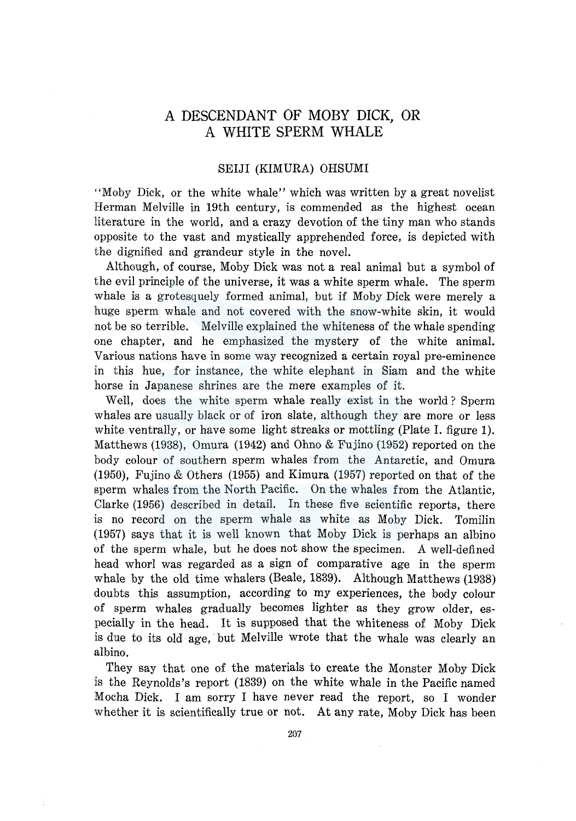# A DESCENDANT OF MOBY DICK, OR A WHITE SPERM WHALE

### SEIJI (KIMURA) OHSUMI

"Moby Dick, or the white whale" which was written by a great novelist Herman Melville in 19th century, is commended as the highest ocean literature in the world, and a crazy devotion of the tiny man who stands opposite to the vast and mystically apprehended force, is depicted with the dignified and grandeur style in the novel.

Although, of course, Moby Dick was not a real animal but a symbol of the evil principle of the universe, it was a white sperm whale. The sperm whale is a grotesquely formed animal, but if Moby Dick were merely a huge sperm whale and not covered with the snow-white skin, it would not be so terrible. Melville explained the whiteness of the whale spending one chapter, and he emphasized the mystery of the white animal. Various nations have in some way recognized a certain royal pre-eminence in this hue, for instance, the white elephant in Siam and the white horse in Japanese shrines are the mere examples of it.

Well, does the white sperm whale really exist in the world? Sperm whales are usually black or of iron slate, although they are more or less white ventrally, or have some light streaks or mottling (Plate I. figure 1). Matthews (1938), Omura (1942) and Ohno & Fujino (1952) reported on the body colour of southern sperm whales from the Antarctic, and Omura (1950), Fujino & Others (1955) and Kimura (1957) reported on that of the sperm whales from the North Pacific. On the whales from the Atlantic, Clarke (1956) described in detail. In these five scientific reports, there is no record on the sperm whale as white as Moby Dick. Tomilin (1957) says that it is well known that Moby Dick is perhaps an albino of the sperm whale, but he does not show the specimen. A well-defined head whorl was regarded as a sign of comparative age in the sperm whale by the old time whalers (Beale, 1839). Although Matthews (1938) doubts this assumption, according to my experiences, the body colour of sperm whales gradually becomes lighter as they grow older, especially in the head. It is supposed that the whiteness of Moby Dick is due to its old age, but Melville wrote that the whale was clearly an albino.

They say that one of the materials to create the Monster Moby Dick is the Reynolds's report (1839) on the white whale in the Pacific named Mocha Dick. I am sorry I have never read the report, so I wonder whether it is scientifically true or not. At any rate, Moby Dick has been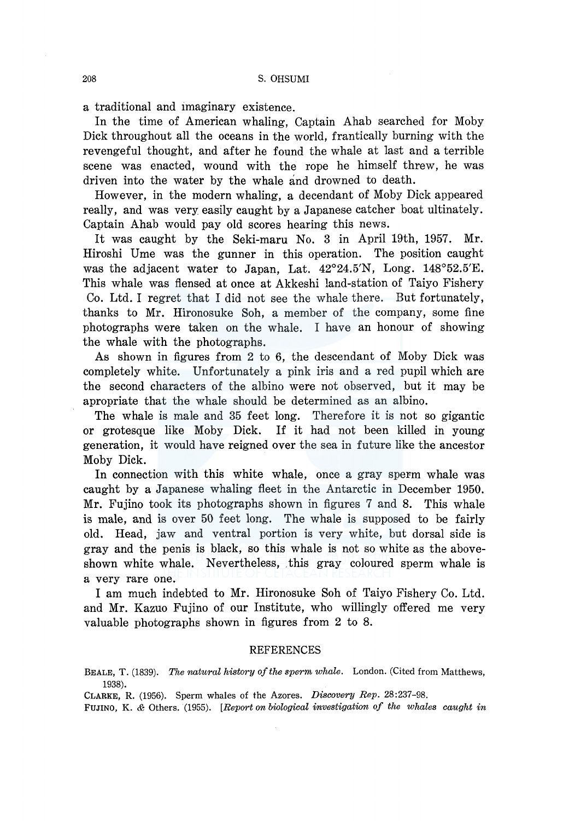a traditional and imaginary existence.

In the time of American whaling, Captain Ahab searched for Moby Dick throughout all the oceans in the world, frantically burning with the revengeful thought, and after he found the whale at last and a terrible scene was enacted, wound with the rope he himself threw, he was driven into the water by the whale and drowned to death.

However, in the modern whaling, a decendant of Moby Dick appeared really, and was very easily caught by a Japanese catcher boat ultinately. Captain Ahab would pay old scores hearing this news.

It was caught by the Seki-maru No. 3 in April 19th, 1957. Mr. Hiroshi Ume was the gunner in this operation. The position caught was the adjacent water to Japan, Lat. 42°24.5'N, Long. 148°52.5'E. This whale was flensed at once at Akkeshi land-station of Taiyo Fishery Co. Ltd. I regret that I did not see the whale there. But fortunately, thanks to Mr. Hironosuke Soh, a member of the company, some fine photographs were taken on the whale. I have an honour of showing the whale with the photographs.

As shown in figures from 2 to 6, the descendant of Moby Dick was completely white. Unfortunately a pink iris and a red pupil which are the second characters of the albino were not observed, but it may be apropriate that the whale should be determined as an albino.

The whale is male and 35 feet long. Therefore it is not so gigantic or grotesque like Moby Dick. If it had not been killed in young generation, it would have reigned over the sea in future like the ancestor Moby Dick.

In connection with this white whale, once a gray sperm whale was caught by a Japanese whaling fleet in the Antarctic in December 1950. Mr. Fujino took its photographs shown in figures 7 and 8. This whale is male, and is over 50 feet long. The whale is supposed to be fairly old. Head, jaw and ventral portion is very white, but dorsal side is gray and the penis is black, so this whale is not so white as the aboveshown white whale. Nevertheless, this gray coloured sperm whale is a very rare one.

I am much indebted to Mr. Hironosuke Soh of Taiyo Fishery Co. Ltd. and Mr. Kazuo Fujino of our Institute, who willingly offered me very valuable photographs shown in figures from 2 to 8.

#### REFERENCES

BEALE, T. (1839). *The natural history of the sperm whale.* London. (Cited from Matthews, 1938).

CLARKE, R. (1956). Sperm whales of the Azores. *Discovery Rep.* 28:237-98.

FUJINO, K. & Others. (1955). *[Report on biological investigation of the whales caught in*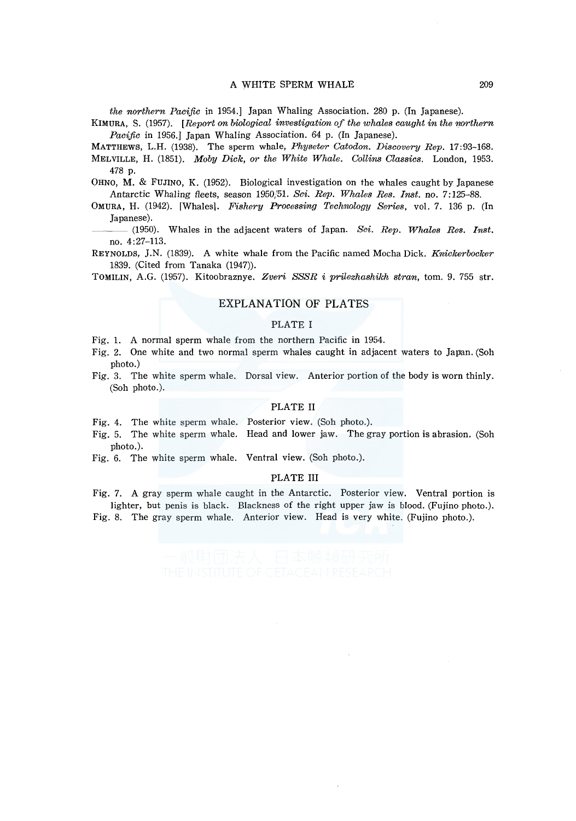*the northern Pacific* in 1954.] Japan Whaling Association. 280 p. (In Japanese).

KIMURA, S. (1957). *[Report on biological investigation of the whales caught in the northern Pacific* in 1956.] Japan Whaling Association. 64 p. (In Japanese).

MATTHEWS, L.H. (1938). The sperm whale, *Physeter Catodon. Discovery Rep.* 17:93-168. MELVILLE, H. (1851). *Moby Dick, or the White Whale. Collins Classics.* London, 1953. 478 p.

OHNO, M. & FUJINO, K. (1952). Biological investigation on the whales caught by Japanese Antarctic Whaling fleets, season 1950/51. *Sci. Rep. Whales Res. Inst.* no. 7:125-88.

OMURA, H. (1942). [Whales]. *Fishery Processing Technology Series,* vol. 7. 136 p. (In Japanese).

 $-$  (1950). Whales in the adjacent waters of Japan. *Sci. Rep. Whales Res. Inst.* no. 4:27-113.

REYNOLDS, J.N. (1839). A white whale from the Pacific named Mocha Dick. *Knickerbocker*  1839. (Cited from Tanaka (1947)).

TOMILIN, A.G. (1957). Kitoobraznye. *Zveri SSSR* i *prilezhashikh stran,* tom. 9. 755 str.

#### EXPLANATION OF PLATES

#### PLATE I

Fig. 1. A normal sperm whale from the northern Pacific in 1954.

- Fig. 2. One white and two normal sperm whales caught in adjacent waters to Japan. (Soh photo.)
- Fig. 3. The white sperm whale. Dorsal view. Anterior portion of the body is worn thinly. (Soh photo.).

#### PLATE II

- Fig. 4. The white sperm whale. Posterior view. (Soh photo.).
- Fig. 5. The white sperm whale. Head and lower jaw. The gray portion is abrasion. (Soh photo.).

Fig. 6. The white sperm whale. Ventral view. (Soh photo.).

#### PLATE III

Fig. 7. A gray sperm whale caught in the Antarctic. Posterior view. Ventral portion is lighter, but penis is black. Blackness of the right upper jaw is blood. (Fujino photo.). Fig. 8. The gray sperm whale. Anterior view. Head is very white. (Fujino photo.).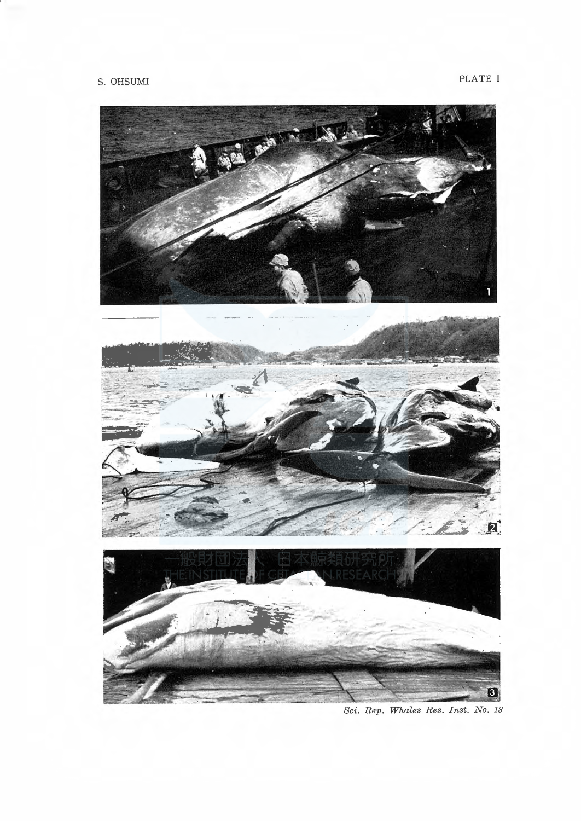

Sci. Rep. Whales Res. Inst. No. 13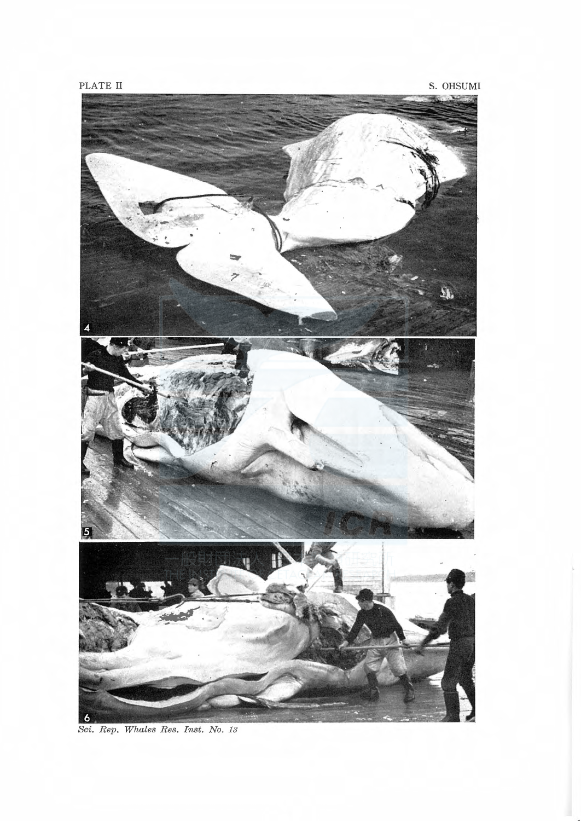

Sci. Rep. Whales Res. Inst. No. 18